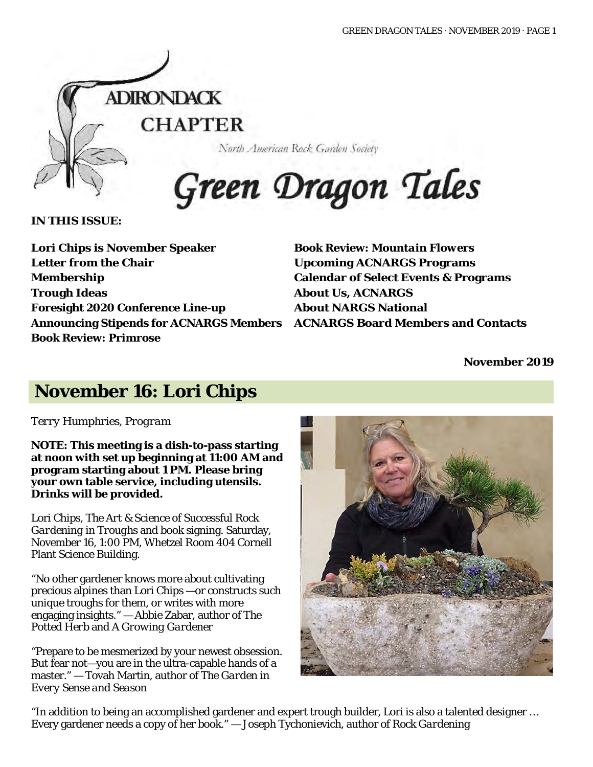

North American Rock Garden Society

# Green Dragon Tales

**IN THIS ISSUE:**

**Lori Chips is November Speaker Letter from the Chair Membership Trough Ideas Foresight 2020 Conference Line-up Announcing Stipends for ACNARGS Members ACNARGS Board Members and Contacts Book Review:** *Primrose*

**Book Review:** *Mountain Flowers* **Upcoming ACNARGS Programs Calendar of Select Events & Programs About Us, ACNARGS About NARGS National**

**November 2019**

### **November 16: Lori Chips**

*Terry Humphries, Program*

**NOTE: This meeting is a dish-to-pass starting at noon with set up beginning at 11:00 AM and program starting about 1 PM. Please bring your own table service, including utensils. Drinks will be provided.**

Lori Chips, *The Art & Science of Successful Rock Gardening in Troughs* and book signing. Saturday, November 16, 1:00 PM, Whetzel Room 404 Cornell Plant Science Building.

"No other gardener knows more about cultivating precious alpines than Lori Chips —or constructs such unique troughs for them, or writes with more engaging insights." — Abbie Zabar, author *of The Potted Herb* and *A Growing Gardener*

"Prepare to be mesmerized by your newest obsession. But fear not—you are in the ultra-capable hands of a master." — Tovah Martin, author of *The Garden in Every Sense and Season* 



"In addition to being an accomplished gardener and expert trough builder, Lori is also a talented designer … Every gardener needs a copy of her book." — Joseph Tychonievich, author of *Rock Gardening*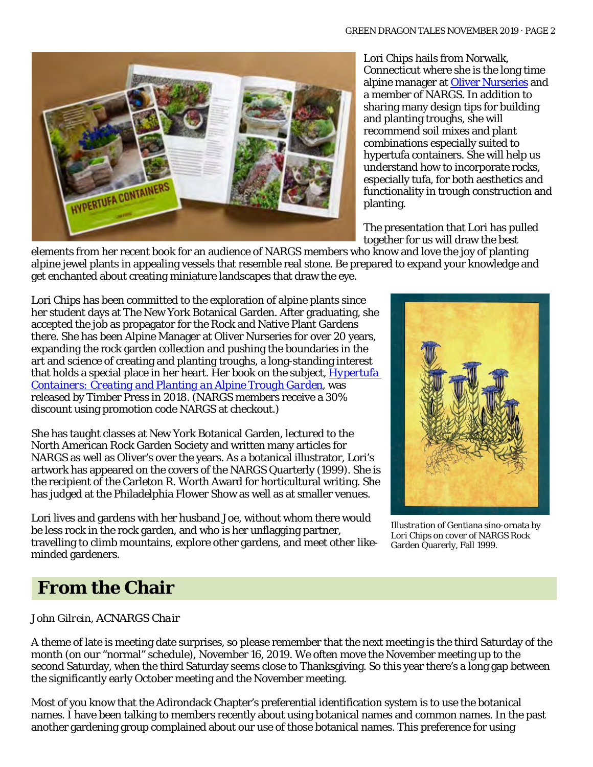

Lori Chips hails from Norwalk, Connecticut where she is the long time alpine manager at [Oliver Nurseries](http://olivernurseries.com/) and a member of NARGS. In addition to sharing many design tips for building and planting troughs, she will recommend soil mixes and plant combinations especially suited to hypertufa containers. She will help us understand how to incorporate rocks, especially tufa, for both aesthetics and functionality in trough construction and planting.

The presentation that Lori has pulled together for us will draw the best

elements from her recent book for an audience of NARGS members who know and love the joy of planting alpine jewel plants in appealing vessels that resemble real stone. Be prepared to expand your knowledge and get enchanted about creating miniature landscapes that draw the eye.

Lori Chips has been committed to the exploration of alpine plants since her student days at The New York Botanical Garden. After graduating, she accepted the job as propagator for the Rock and Native Plant Gardens there. She has been Alpine Manager at Oliver Nurseries for over 20 years, expanding the rock garden collection and pushing the boundaries in the art and science of creating and planting troughs, a long-standing interest that holds a special place in her heart. Her book on the subject, *[Hypertufa](https://www.workman.com/products/hypertufa-containers) [Containers: Creating and Planting an Alpine Trough Garden](https://www.workman.com/products/hypertufa-containers)*, was released by Timber Press in 2018. (NARGS members receive a 30% discount using promotion code NARGS at checkout.)

She has taught classes at New York Botanical Garden, lectured to the North American Rock Garden Society and written many articles for NARGS as well as Oliver's over the years. As a botanical illustrator, Lori's artwork has appeared on the covers of the NARGS Quarterly (1999). She is the recipient of the Carleton R. Worth Award for horticultural writing. She has judged at the Philadelphia Flower Show as well as at smaller venues.

Lori lives and gardens with her husband Joe, without whom there would be less rock in the rock garden, and who is her unflagging partner, travelling to climb mountains, explore other gardens, and meet other likeminded gardeners.



*Illustration of* Gentiana sino-ornata *by Lori Chips on cover of* NARGS Rock Garden Quarerly*,* Fall 1999.

### **From the Chair**

#### *John Gilrein, ACNARGS Chair*

A theme of late is meeting date surprises, so please remember that the next meeting is the third Saturday of the month (on our "normal" schedule), November 16, 2019. We often move the November meeting up to the second Saturday, when the third Saturday seems close to Thanksgiving. So this year there's a long gap between the significantly early October meeting and the November meeting.

Most of you know that the Adirondack Chapter's preferential identification system is to use the botanical names. I have been talking to members recently about using botanical names and common names. In the past another gardening group complained about our use of those botanical names. This preference for using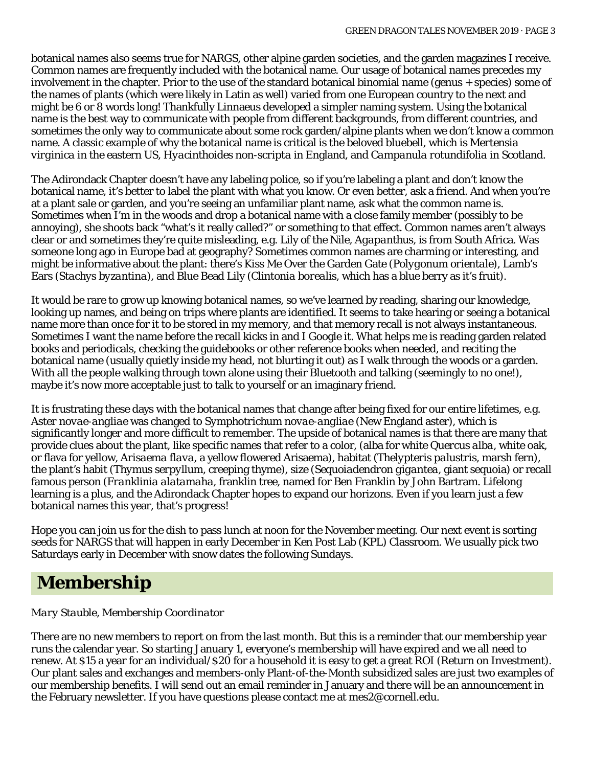botanical names also seems true for NARGS, other alpine garden societies, and the garden magazines I receive. Common names are frequently included with the botanical name. Our usage of botanical names precedes my involvement in the chapter. Prior to the use of the standard botanical binomial name (genus + species) some of the names of plants (which were likely in Latin as well) varied from one European country to the next and might be 6 or 8 words long! Thankfully Linnaeus developed a simpler naming system. Using the botanical name is the best way to communicate with people from different backgrounds, from different countries, and sometimes the only way to communicate about some rock garden/alpine plants when we don't know a common name. A classic example of why the botanical name is critical is the beloved bluebell, which is *Mertensia virginica* in the eastern US, *Hyacinthoides non-scripta* in England, and *Campanula rotundifolia* in Scotland.

The Adirondack Chapter doesn't have any labeling police, so if you're labeling a plant and don't know the botanical name, it's better to label the plant with what you know. Or even better, ask a friend. And when you're at a plant sale or garden, and you're seeing an unfamiliar plant name, ask what the common name is. Sometimes when I'm in the woods and drop a botanical name with a close family member (possibly to be annoying), she shoots back "what's it really called?" or something to that effect. Common names aren't always clear or and sometimes they're quite misleading, e.g. Lily of the Nile, *Agapanthus*, is from South Africa. Was someone long ago in Europe bad at geography? Sometimes common names are charming or interesting, and might be informative about the plant: there's Kiss Me Over the Garden Gate (*Polygonum orientale*), Lamb's Ears (*Stachys byzantina*), and Blue Bead Lily (*Clintonia borealis*, which has a blue berry as it's fruit).

It would be rare to grow up knowing botanical names, so we've learned by reading, sharing our knowledge, looking up names, and being on trips where plants are identified. It seems to take hearing or seeing a botanical name more than once for it to be stored in my memory, and that memory recall is not always instantaneous. Sometimes I want the name before the recall kicks in and I Google it. What helps me is reading garden related books and periodicals, checking the guidebooks or other reference books when needed, and reciting the botanical name (usually quietly inside my head, not blurting it out) as I walk through the woods or a garden. With all the people walking through town alone using their Bluetooth and talking (seemingly to no one!), maybe it's now more acceptable just to talk to yourself or an imaginary friend.

It is frustrating these days with the botanical names that change after being fixed for our entire lifetimes, e.g. *Aster novae-angliae* was changed to *Symphotrichum novae-angliae* (New England aster), which is significantly longer and more difficult to remember. The upside of botanical names is that there are many that provide clues about the plant, like specific names that refer to a color, (alba for white *Quercus alba*, white oak, or flava for yellow, *Arisaema flava*, a yellow flowered Arisaema), habitat *(Thelypteris palustris*, marsh fern), the plant's habit (*Thymus serpyllum*, creeping thyme), size (*Sequoiadendron gigantea*, giant sequoia) or recall famous person (*Franklinia alatamaha*, franklin tree, named for Ben Franklin by John Bartram. Lifelong learning is a plus, and the Adirondack Chapter hopes to expand our horizons. Even if you learn just a few botanical names this year, that's progress!

Hope you can join us for the dish to pass lunch at noon for the November meeting. Our next event is sorting seeds for NARGS that will happen in early December in Ken Post Lab (KPL) Classroom. We usually pick two Saturdays early in December with snow dates the following Sundays.

### **Membership**

#### *Mary Stauble, Membership Coordinator*

There are no new members to report on from the last month. But this is a reminder that our membership year runs the calendar year. So starting January 1, everyone's membership will have expired and we all need to renew. At \$15 a year for an individual/\$20 for a household it is easy to get a great ROI (Return on Investment). Our plant sales and exchanges and members-only Plant-of-the-Month subsidized sales are just two examples of our membership benefits. I will send out an email reminder in January and there will be an announcement in the February newsletter. If you have questions please contact me at mes2@cornell.edu.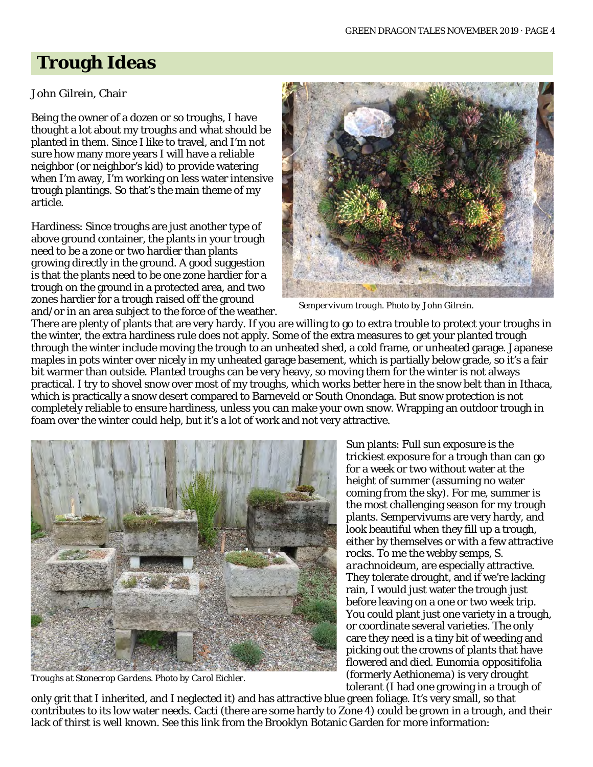### **Trough Ideas**

#### John Gilrein, Chair

Being the owner of a dozen or so troughs, I have thought a lot about my troughs and what should be planted in them. Since I like to travel, and I'm not sure how many more years I will have a reliable neighbor (or neighbor's kid) to provide watering when I'm away, I'm working on less water intensive trough plantings. So that's the main theme of my article.

Hardiness: Since troughs are just another type of above ground container, the plants in your trough need to be a zone or two hardier than plants growing directly in the ground. A good suggestion is that the plants need to be one zone hardier for a trough on the ground in a protected area, and two zones hardier for a trough raised off the ground and/or in an area subject to the force of the weather.



*Sempervivum trough. Photo by John Gilrein.*

There are plenty of plants that are very hardy. If you are willing to go to extra trouble to protect your troughs in the winter, the extra hardiness rule does not apply. Some of the extra measures to get your planted trough through the winter include moving the trough to an unheated shed, a cold frame, or unheated garage. Japanese maples in pots winter over nicely in my unheated garage basement, which is partially below grade, so it's a fair bit warmer than outside. Planted troughs can be very heavy, so moving them for the winter is not always practical. I try to shovel snow over most of my troughs, which works better here in the snow belt than in Ithaca, which is practically a snow desert compared to Barneveld or South Onondaga. But snow protection is not completely reliable to ensure hardiness, unless you can make your own snow. Wrapping an outdoor trough in foam over the winter could help, but it's a lot of work and not very attractive.



*Troughs at Stonecrop Gardens. Photo by Carol Eichler.*

Sun plants: Full sun exposure is the trickiest exposure for a trough than can go for a week or two without water at the height of summer (assuming no water coming from the sky). For me, summer is the most challenging season for my trough plants. Sempervivums are very hardy, and look beautiful when they fill up a trough, either by themselves or with a few attractive rocks. To me the webby semps, *S. arachnoideum*, are especially attractive. They tolerate drought, and if we're lacking rain, I would just water the trough just before leaving on a one or two week trip. You could plant just one variety in a trough, or coordinate several varieties. The only care they need is a tiny bit of weeding and picking out the crowns of plants that have flowered and died. *Eunomia oppositifolia* (formerly *Aethionema*) is very drought tolerant (I had one growing in a trough of

only grit that I inherited, and I neglected it) and has attractive blue green foliage. It's very small, so that contributes to its low water needs. Cacti (there are some hardy to Zone 4) could be grown in a trough, and their lack of thirst is well known. See this link from the Brooklyn Botanic Garden for more information: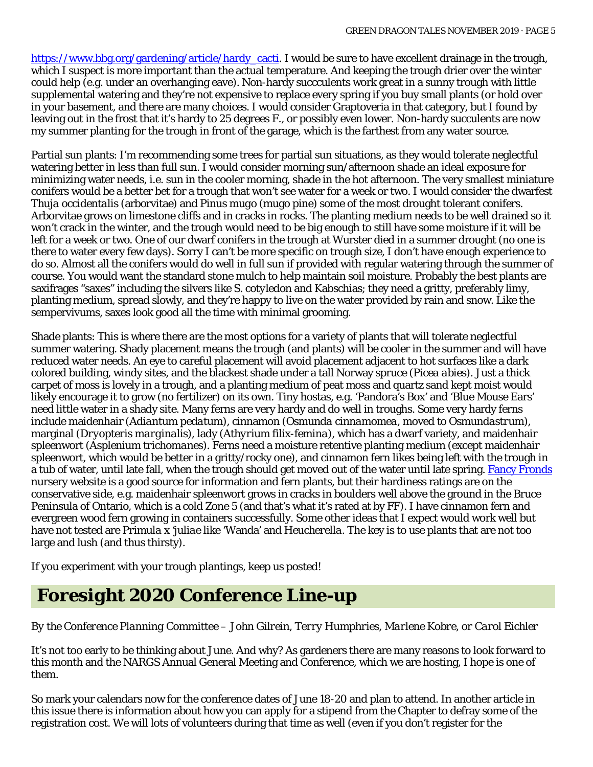[https://www.bbg.org/gardening/article/hardy\\_cacti.](https://www.bbg.org/gardening/article/hardy_cacti) I would be sure to have excellent drainage in the trough, which I suspect is more important than the actual temperature. And keeping the trough drier over the winter could help (e.g. under an overhanging eave). Non-hardy succculents work great in a sunny trough with little supplemental watering and they're not expensive to replace every spring if you buy small plants (or hold over in your basement, and there are many choices. I would consider Graptoveria in that category, but I found by leaving out in the frost that it's hardy to 25 degrees F., or possibly even lower. Non-hardy succulents are now my summer planting for the trough in front of the garage, which is the farthest from any water source.

Partial sun plants: I'm recommending some trees for partial sun situations, as they would tolerate neglectful watering better in less than full sun. I would consider morning sun/afternoon shade an ideal exposure for minimizing water needs, i.e. sun in the cooler morning, shade in the hot afternoon. The very smallest miniature conifers would be a better bet for a trough that won't see water for a week or two. I would consider the dwarfest *Thuja occidentalis* (arborvitae) and *Pinus mugo* (mugo pine) some of the most drought tolerant conifers. Arborvitae grows on limestone cliffs and in cracks in rocks. The planting medium needs to be well drained so it won't crack in the winter, and the trough would need to be big enough to still have some moisture if it will be left for a week or two. One of our dwarf conifers in the trough at Wurster died in a summer drought (no one is there to water every few days). Sorry I can't be more specific on trough size, I don't have enough experience to do so. Almost all the conifers would do well in full sun if provided with regular watering through the summer of course. You would want the standard stone mulch to help maintain soil moisture. Probably the best plants are saxifrages "saxes" including the silvers like *S. cotyledon* and Kabschias; they need a gritty, preferably limy, planting medium, spread slowly, and they're happy to live on the water provided by rain and snow. Like the sempervivums, saxes look good all the time with minimal grooming.

Shade plants: This is where there are the most options for a variety of plants that will tolerate neglectful summer watering. Shady placement means the trough (and plants) will be cooler in the summer and will have reduced water needs. An eye to careful placement will avoid placement adjacent to hot surfaces like a dark colored building, windy sites, and the blackest shade under a tall Norway spruce (*Picea abies*). Just a thick carpet of moss is lovely in a trough, and a planting medium of peat moss and quartz sand kept moist would likely encourage it to grow (no fertilizer) on its own. Tiny hostas, e.g. 'Pandora's Box' and 'Blue Mouse Ears' need little water in a shady site. Many ferns are very hardy and do well in troughs. Some very hardy ferns include maidenhair (*Adiantum pedatum*), cinnamon (*Osmunda cinnamomea*, moved to *Osmundastrum*), marginal (*Dryopteris marginalis*), lady (*Athyrium filix-femina*), which has a dwarf variety, and maidenhair spleenwort (*Asplenium trichomanes*). Ferns need a moisture retentive planting medium (except maidenhair spleenwort, which would be better in a gritty/rocky one), and cinnamon fern likes being left with the trough in a tub of water, until late fall, when the trough should get moved out of the water until late spring. [Fancy Fronds](http://www.fancyfrondsnursery.com/) nursery website is a good source for information and fern plants, but their hardiness ratings are on the conservative side, e.g. maidenhair spleenwort grows in cracks in boulders well above the ground in the Bruce Peninsula of Ontario, which is a cold Zone 5 (and that's what it's rated at by FF). I have cinnamon fern and evergreen wood fern growing in containers successfully. Some other ideas that I expect would work well but have not tested are *Primula x 'juliae* like 'Wanda' and *Heucherella*. The key is to use plants that are not too large and lush (and thus thirsty).

If you experiment with your trough plantings, keep us posted!

### *Foresight 2020* **Conference Line-up**

#### *By the Conference Planning Committee – John Gilrein, Terry Humphries, Marlene Kobre, or Carol Eichler*

It's not too early to be thinking about June. And why? As gardeners there are many reasons to look forward to this month and the NARGS Annual General Meeting and Conference, which we are hosting, I hope is one of them.

So mark your calendars now for the conference dates of June 18-20 and plan to attend. In another article in this issue there is information about how you can apply for a stipend from the Chapter to defray some of the registration cost. We will lots of volunteers during that time as well (even if you don't register for the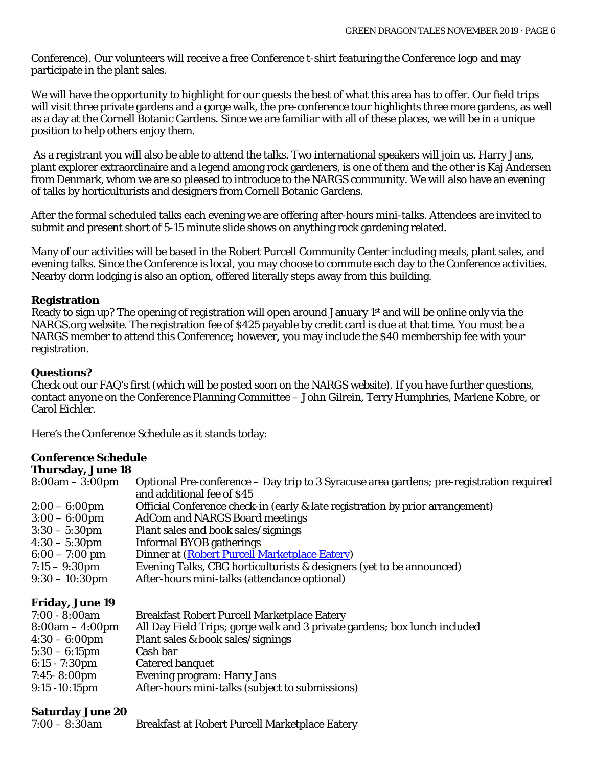Conference). Our volunteers will receive a free Conference t-shirt featuring the Conference logo and may participate in the plant sales.

We will have the opportunity to highlight for our guests the best of what this area has to offer. Our field trips will visit three private gardens and a gorge walk, the pre-conference tour highlights three more gardens, as well as a day at the Cornell Botanic Gardens. Since we are familiar with all of these places, we will be in a unique position to help others enjoy them.

As a registrant you will also be able to attend the talks. Two international speakers will join us. Harry Jans, plant explorer extraordinaire and a legend among rock gardeners, is one of them and the other is Kaj Andersen from Denmark, whom we are so pleased to introduce to the NARGS community. We will also have an evening of talks by horticulturists and designers from Cornell Botanic Gardens.

After the formal scheduled talks each evening we are offering after-hours mini-talks. Attendees are invited to submit and present short of 5-15 minute slide shows on anything rock gardening related.

Many of our activities will be based in the Robert Purcell Community Center including meals, plant sales, and evening talks. Since the Conference is local, you may choose to commute each day to the Conference activities. Nearby dorm lodging is also an option, offered literally steps away from this building.

#### **Registration**

Ready to sign up? The opening of registration will open around January 1st and will be online only via the NARGS.org website. The registration fee of \$425 payable by credit card is due at that time. You must be a NARGS member to attend this Conference**;** however**,** you may include the \$40 membership fee with your registration.

#### **Questions?**

Check out our FAQ's first (which will be posted soon on the NARGS website). If you have further questions, contact anyone on the Conference Planning Committee – John Gilrein, Terry Humphries, Marlene Kobre, or Carol Eichler.

Here's the Conference Schedule as it stands today:

#### **Conference Schedule Thursday, June 18**

| Thursday, Julie 10     |                                                                                          |
|------------------------|------------------------------------------------------------------------------------------|
| $8:00am - 3:00pm$      | Optional Pre-conference – Day trip to 3 Syracuse area gardens; pre-registration required |
|                        | and additional fee of \$45                                                               |
| $2:00 - 6:00$ pm       | Official Conference check-in (early & late registration by prior arrangement)            |
| $3:00 - 6:00$ pm       | <b>AdCom and NARGS Board meetings</b>                                                    |
| $3:30 - 5:30$ pm       | Plant sales and book sales/signings                                                      |
| $4:30 - 5:30$ pm       | Informal BYOB gatherings                                                                 |
| $6:00 - 7:00$ pm       | Dinner at (Robert Purcell Marketplace Eatery)                                            |
| $7:15 - 9:30$ pm       | Evening Talks, CBG horticulturists & designers (yet to be announced)                     |
| $9:30 - 10:30$ pm      | After-hours mini-talks (attendance optional)                                             |
| <b>Friday, June 19</b> |                                                                                          |
|                        |                                                                                          |

| $7:00 - 8:00am$          | <b>Breakfast Robert Purcell Marketplace Eatery</b>                        |
|--------------------------|---------------------------------------------------------------------------|
| $8:00am - 4:00pm$        | All Day Field Trips; gorge walk and 3 private gardens; box lunch included |
| $4:30 - 6:00 \text{pm}$  | Plant sales & book sales/signings                                         |
| $5:30 - 6:15 \text{pm}$  | Cash bar                                                                  |
| $6:15 - 7:30 \text{pm}$  | Catered banquet                                                           |
| $7:45 - 8:00 \text{pm}$  | <b>Evening program: Harry Jans</b>                                        |
| $9:15 - 10:15 \text{pm}$ | After-hours mini-talks (subject to submissions)                           |
|                          |                                                                           |

#### **Saturday June 20**

| $7:00 - 8:30$ am | <b>Breakfast at Robert Purcell Marketplace Eatery</b> |
|------------------|-------------------------------------------------------|
|------------------|-------------------------------------------------------|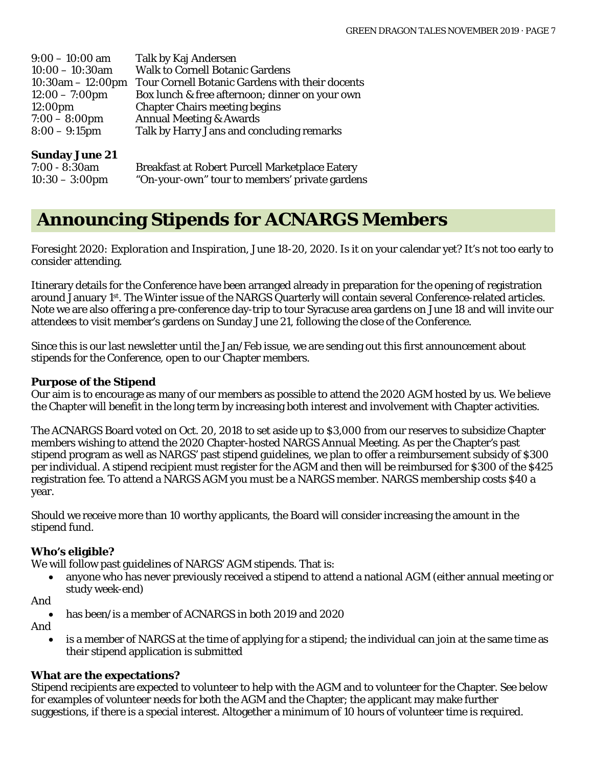| $9:00 - 10:00$ am       | Talk by Kaj Andersen                            |
|-------------------------|-------------------------------------------------|
| $10:00 - 10:30$ am      | <b>Walk to Cornell Botanic Gardens</b>          |
| $10:30am - 12:00pm$     | Tour Cornell Botanic Gardens with their docents |
| $12:00 - 7:00$ pm       | Box lunch & free afternoon; dinner on your own  |
| 12:00 <sub>pm</sub>     | <b>Chapter Chairs meeting begins</b>            |
| $7:00 - 8:00 \text{pm}$ | <b>Annual Meeting &amp; Awards</b>              |
| $8:00 - 9:15$ pm        | Talk by Harry Jans and concluding remarks       |
|                         |                                                 |

#### **Sunday June 21**

| $7:00 - 8:30$ am  | <b>Breakfast at Robert Purcell Marketplace Eatery</b> |
|-------------------|-------------------------------------------------------|
| $10:30 - 3:00$ pm | "On-your-own" tour to members' private gardens        |

### **Announcing Stipends for ACNARGS Members**

*Foresight 2020: Exploration and Inspiration*, June 18-20, 2020. Is it on your calendar yet? It's not too early to consider attending.

Itinerary details for the Conference have been arranged already in preparation for the opening of registration around January 1st. The Winter issue of the NARGS Quarterly will contain several Conference-related articles. Note we are also offering a pre-conference day-trip to tour Syracuse area gardens on June 18 and will invite our attendees to visit member's gardens on Sunday June 21, following the close of the Conference.

Since this is our last newsletter until the Jan/Feb issue, we are sending out this first announcement about stipends for the Conference, open to our Chapter members.

#### **Purpose of the Stipend**

Our aim is to encourage as many of our members as possible to attend the 2020 AGM hosted by us. We believe the Chapter will benefit in the long term by increasing both interest and involvement with Chapter activities.

The ACNARGS Board voted on Oct. 20, 2018 to set aside up to \$3,000 from our reserves to subsidize Chapter members wishing to attend the 2020 Chapter-hosted NARGS Annual Meeting. As per the Chapter's past stipend program as well as NARGS' past stipend guidelines, we plan to offer a reimbursement subsidy of \$300 per individual. A stipend recipient must register for the AGM and then will be reimbursed for \$300 of the \$425 registration fee. To attend a NARGS AGM you must be a NARGS member. NARGS membership costs \$40 a year.

Should we receive more than 10 worthy applicants, the Board will consider increasing the amount in the stipend fund.

#### **Who's eligible?**

We will follow past guidelines of NARGS' AGM stipends. That is:

- anyone who has never previously received a stipend to attend a national AGM (either annual meeting or study week-end)
- And
	- has been/is a member of ACNARGS in both 2019 and 2020

And

• is a member of NARGS at the time of applying for a stipend; the individual can join at the same time as their stipend application is submitted

#### **What are the expectations?**

Stipend recipients are expected to volunteer to help with the AGM and to volunteer for the Chapter. See below for examples of volunteer needs for both the AGM and the Chapter; the applicant may make further suggestions, if there is a special interest. Altogether a minimum of 10 hours of volunteer time is required.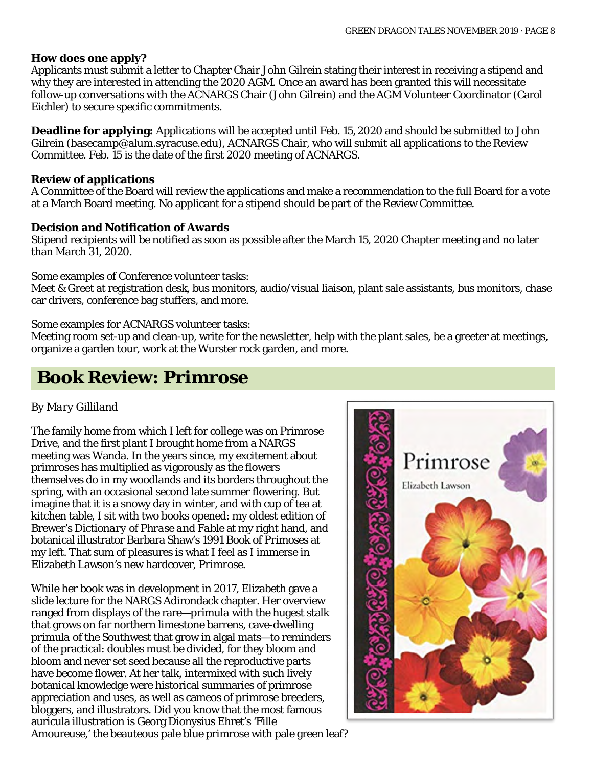#### **How does one apply?**

Applicants must submit a letter to Chapter Chair John Gilrein stating their interest in receiving a stipend and why they are interested in attending the 2020 AGM. Once an award has been granted this will necessitate follow-up conversations with the ACNARGS Chair (John Gilrein) and the AGM Volunteer Coordinator (Carol Eichler) to secure specific commitments.

**Deadline for applying:** Applications will be accepted until Feb. 15, 2020 and should be submitted to John Gilrein [\(basecamp@alum.syracuse.edu\)](mailto:basecamp@alum.syracuse.edu), ACNARGS Chair, who will submit all applications to the Review Committee. Feb. 15 is the date of the first 2020 meeting of ACNARGS.

#### **Review of applications**

A Committee of the Board will review the applications and make a recommendation to the full Board for a vote at a March Board meeting. No applicant for a stipend should be part of the Review Committee.

#### **Decision and Notification of Awards**

Stipend recipients will be notified as soon as possible after the March 15, 2020 Chapter meeting and no later than March 31, 2020.

Some examples of Conference volunteer tasks:

Meet & Greet at registration desk, bus monitors, audio/visual liaison, plant sale assistants, bus monitors, chase car drivers, conference bag stuffers, and more.

Some examples for ACNARGS volunteer tasks:

Meeting room set-up and clean-up, write for the newsletter, help with the plant sales, be a greeter at meetings, organize a garden tour, work at the Wurster rock garden, and more.

## **Book Review:** *Primrose*

#### *By Mary Gilliland*

The family home from which I left for college was on Primrose Drive, and the first plant I brought home from a NARGS meeting was Wanda. In the years since, my excitement about primroses has multiplied as vigorously as the flowers themselves do in my woodlands and its borders throughout the spring, with an occasional second late summer flowering. But imagine that it is a snowy day in winter, and with cup of tea at kitchen table, I sit with two books opened: my oldest edition of Brewer's *Dictionary of Phrase and Fable* at my right hand, and botanical illustrator Barbara Shaw's 1991 *Book of Primoses* at my left. That sum of pleasures is what I feel as I immerse in Elizabeth Lawson's new hardcover, *Primrose*.

While her book was in development in 2017, Elizabeth gave a slide lecture for the NARGS Adirondack chapter. Her overview ranged from displays of the rare—*primula* with the hugest stalk that grows on far northern limestone barrens, cave-dwelling *primula* of the Southwest that grow in algal mats—to reminders of the practical: doubles must be divided, for they bloom and bloom and never set seed because all the reproductive parts have become flower. At her talk, intermixed with such lively botanical knowledge were historical summaries of primrose appreciation and uses, as well as cameos of primrose breeders, bloggers, and illustrators. Did you know that the most famous auricula illustration is Georg Dionysius Ehret's 'Fille Amoureuse,' the beauteous pale blue primrose with pale green leaf?

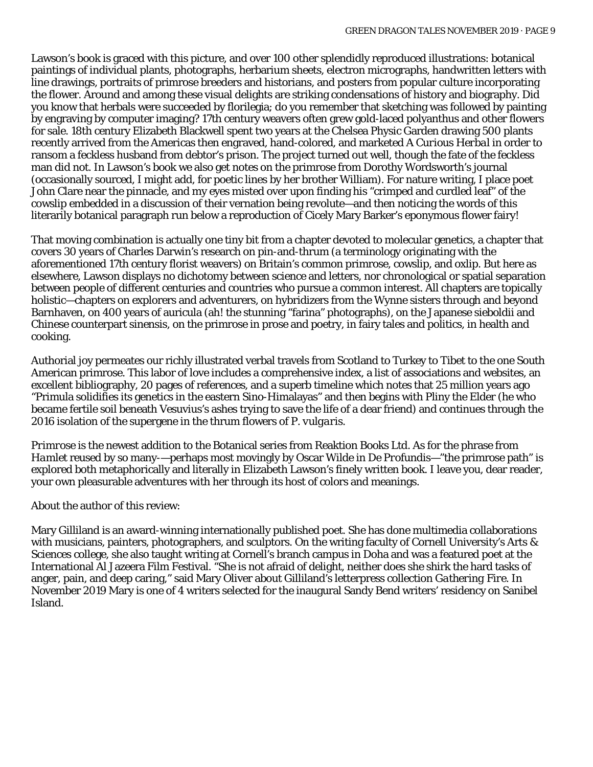Lawson's book is graced with this picture, and over 100 other splendidly reproduced illustrations: botanical paintings of individual plants, photographs, herbarium sheets, electron micrographs, handwritten letters with line drawings, portraits of primrose breeders and historians, and posters from popular culture incorporating the flower. Around and among these visual delights are striking condensations of history and biography. Did you know that herbals were succeeded by florilegia; do you remember that sketching was followed by painting by engraving by computer imaging? 17th century weavers often grew gold-laced polyanthus and other flowers for sale. 18th century Elizabeth Blackwell spent two years at the Chelsea Physic Garden drawing 500 plants recently arrived from the Americas then engraved, hand-colored, and marketed *A Curious Herbal* in order to ransom a feckless husband from debtor's prison. The project turned out well, though the fate of the feckless man did not. In Lawson's book we also get notes on the primrose from Dorothy Wordsworth's journal (occasionally sourced, I might add, for poetic lines by her brother William). For nature writing, I place poet John Clare near the pinnacle, and my eyes misted over upon finding his "crimped and curdled leaf" of the cowslip embedded in a discussion of their vernation being revolute—and then noticing the words of this literarily botanical paragraph run below a reproduction of Cicely Mary Barker's eponymous flower fairy!

That moving combination is actually one tiny bit from a chapter devoted to molecular genetics, a chapter that covers 30 years of Charles Darwin's research on pin-and-thrum (a terminology originating with the aforementioned 17th century florist weavers) on Britain's common primrose, cowslip, and oxlip. But here as elsewhere, Lawson displays no dichotomy between science and letters, nor chronological or spatial separation between people of different centuries and countries who pursue a common interest. All chapters are topically holistic—chapters on explorers and adventurers, on hybridizers from the Wynne sisters through and beyond Barnhaven, on 400 years of auricula (ah! the stunning "farina" photographs), on the Japanese *sieboldii* and Chinese counterpart *sinensis*, on the primrose in prose and poetry, in fairy tales and politics, in health and cooking.

Authorial joy permeates our richly illustrated verbal travels from Scotland to Turkey to Tibet to the one South American primrose. This labor of love includes a comprehensive index, a list of associations and websites, an excellent bibliography, 20 pages of references, and a superb timeline which notes that 25 million years ago "Primula solidifies its genetics in the eastern Sino-Himalayas" and then begins with Pliny the Elder (he who became fertile soil beneath Vesuvius's ashes trying to save the life of a dear friend) and continues through the 2016 isolation of the supergene in the thrum flowers of *P. vulgaris*.

*Primrose* is the newest addition to the Botanical series from Reaktion Books Ltd. As for the phrase from *Hamlet* reused by so many-—perhaps most movingly by Oscar Wilde in *De Profundis*—"the primrose path" is explored both metaphorically and literally in Elizabeth Lawson's finely written book. I leave you, dear reader, your own pleasurable adventures with her through its host of colors and meanings.

About the author of this review:

Mary Gilliland is an award-winning internationally published poet. She has done multimedia collaborations with musicians, painters, photographers, and sculptors. On the writing faculty of Cornell University's Arts & Sciences college, she also taught writing at Cornell's branch campus in Doha and was a featured poet at the International Al Jazeera Film Festival. "She is not afraid of delight, neither does she shirk the hard tasks of anger, pain, and deep caring," said Mary Oliver about Gilliland's letterpress collection *Gathering Fire*. In November 2019 Mary is one of 4 writers selected for the inaugural Sandy Bend writers' residency on Sanibel Island.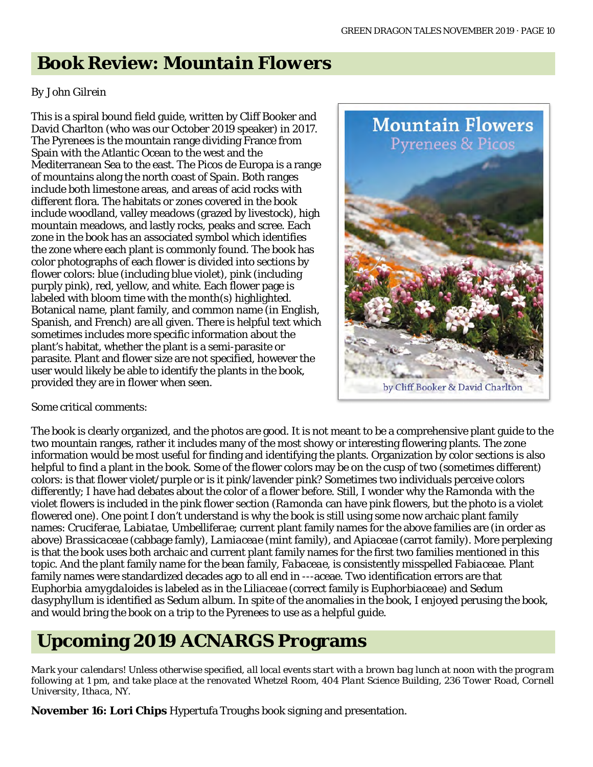### **Book Review:** *Mountain Flowers*

#### *By John Gilrein*

This is a spiral bound field guide, written by Cliff Booker and David Charlton (who was our October 2019 speaker) in 2017. The Pyrenees is the mountain range dividing France from Spain with the Atlantic Ocean to the west and the Mediterranean Sea to the east. The Picos de Europa is a range of mountains along the north coast of Spain. Both ranges include both limestone areas, and areas of acid rocks with different flora. The habitats or zones covered in the book include woodland, valley meadows (grazed by livestock), high mountain meadows, and lastly rocks, peaks and scree. Each zone in the book has an associated symbol which identifies the zone where each plant is commonly found. The book has color photographs of each flower is divided into sections by flower colors: blue (including blue violet), pink (including purply pink), red, yellow, and white. Each flower page is labeled with bloom time with the month(s) highlighted. Botanical name, plant family, and common name (in English, Spanish, and French) are all given. There is helpful text which sometimes includes more specific information about the plant's habitat, whether the plant is a semi-parasite or parasite. Plant and flower size are not specified, however the user would likely be able to identify the plants in the book, provided they are in flower when seen.



Some critical comments:

The book is clearly organized, and the photos are good. It is not meant to be a comprehensive plant guide to the two mountain ranges, rather it includes many of the most showy or interesting flowering plants. The zone information would be most useful for finding and identifying the plants. Organization by color sections is also helpful to find a plant in the book. Some of the flower colors may be on the cusp of two (sometimes different) colors: is that flower violet/purple or is it pink/lavender pink? Sometimes two individuals perceive colors differently; I have had debates about the color of a flower before. Still, I wonder why the *Ramonda* with the violet flowers is included in the pink flower section (*Ramonda* can have pink flowers, but the photo is a violet flowered one). One point I don't understand is why the book is still using some now archaic plant family names: *Cruciferae*, *Labiatae*, *Umbelliferae*; current plant family names for the above families are (in order as above) *Brassicaceae* (cabbage famly), *Lamiaceae* (mint family), and *Apiaceae* (carrot family). More perplexing is that the book uses both archaic and current plant family names for the first two families mentioned in this topic. And the plant family name for the bean family, *Fabaceae*, is consistently misspelled *Fabiaceae*. Plant family names were standardized decades ago to all end in ---aceae. Two identification errors are that *Euphorbia amygdaloides* is labeled as in the *Liliaceae* (correct family is *Euphorbiaceae*) and *Sedum dasyphyllum* is identified as *Sedum album*. In spite of the anomalies in the book, I enjoyed perusing the book, and would bring the book on a trip to the Pyrenees to use as a helpful guide.

### **Upcoming 2019 ACNARGS Programs**

*Mark your calendars! Unless otherwise specified, all local events start with a brown bag lunch at noon with the program*  following at 1 pm, and take place at the renovated Whetzel Room, 404 Plant Science Building, 236 Tower Road, Cornell *University, Ithaca, NY.*

**November 16: Lori Chips** Hypertufa Troughs book signing and presentation.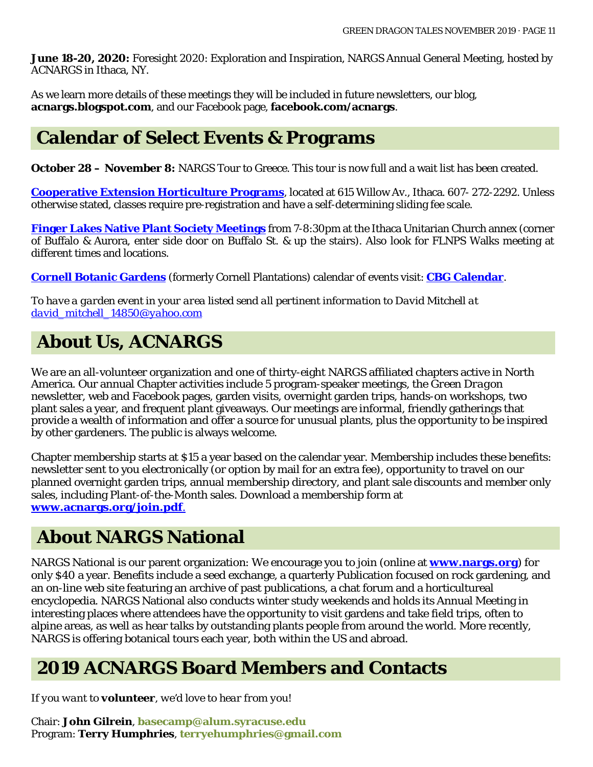**June 18-20, 2020:** Foresight 2020: Exploration and Inspiration, NARGS Annual General Meeting, hosted by ACNARGS in Ithaca, NY.

As we learn more details of these meetings they will be included in future newsletters, our blog, **acnargs.blogspot.com**, and our Facebook page, **[facebook.com/acnargs](http://www.facebook.com/acnargs)**.

### **Calendar of Select Events & Programs**

**October 28 – November 8:** NARGS Tour to Greece. This tour is now full and a wait list has been created.

**[Cooperative Extension Horticulture Programs](http://www.ccetompkins.org/)**, located at 615 Willow Av., Ithaca. 607- 272-2292. Unless otherwise stated, classes require pre-registration and have a self-determining sliding fee scale.

**[Finger Lakes Native Plant Society Meetings](https://flnps.org/)** from 7-8:30pm at the Ithaca Unitarian Church annex (corner of Buffalo & Aurora, enter side door on Buffalo St. & up the stairs). Also look for FLNPS Walks meeting at different times and locations.

**[Cornell Botanic Gardens](https://cornellbotanicgardens.org/)** (formerly Cornell Plantations) calendar of events visit: **[CBG Calendar](https://cornellbotanicgardens.org/explore/events/)**.

*To have a garden event in your area listed send all pertinent information to David Mitchell at [david\\_mitchell\\_14850@yahoo.com](mailto:david_mitchell_14850@yahoo.com)*

## **About Us, ACNARGS**

We are an all-volunteer organization and one of thirty-eight NARGS affiliated chapters active in North America. Our annual Chapter activities include 5 program-speaker meetings, the *Green Dragon*  newsletter, web and Facebook pages, garden visits, overnight garden trips, hands-on workshops, two plant sales a year, and frequent plant giveaways. Our meetings are informal, friendly gatherings that provide a wealth of information and offer a source for unusual plants, plus the opportunity to be inspired by other gardeners. The public is always welcome.

Chapter membership starts at \$15 a year based on the calendar year. Membership includes these benefits: newsletter sent to you electronically (or option by mail for an extra fee), opportunity to travel on our planned overnight garden trips, annual membership directory, and plant sale discounts and member only sales, including Plant-of-the-Month sales. Download a membership form at **[www.acnargs.org/join.pdf](http://www.acnargs.org/join.pdf.)**.

### **About NARGS National**

NARGS National is our parent organization: We encourage you to join (online at **www.nargs.org**) for only \$40 a year. Benefits include a seed exchange, a quarterly Publication focused on rock gardening, and an on-line web site featuring an archive of past publications, a chat forum and a horticultureal encyclopedia. NARGS National also conducts winter study weekends and holds its Annual Meeting in interesting places where attendees have the opportunity to visit gardens and take field trips, often to alpine areas, as well as hear talks by outstanding plants people from around the world. More recently, NARGS is offering botanical tours each year, both within the US and abroad.

### **2019 ACNARGS Board Members and Contacts**

*If you want to volunteer, we'd love to hear from you!*

Chair: **John Gilrein**, **[basecamp@alum.syracuse.edu](mailto:basecamp@alum.syracuse.edu)**  Program: **Terry Humphries**, **[terryehumphries@gmail.com](mailto:terryehumphries@gmail.com)**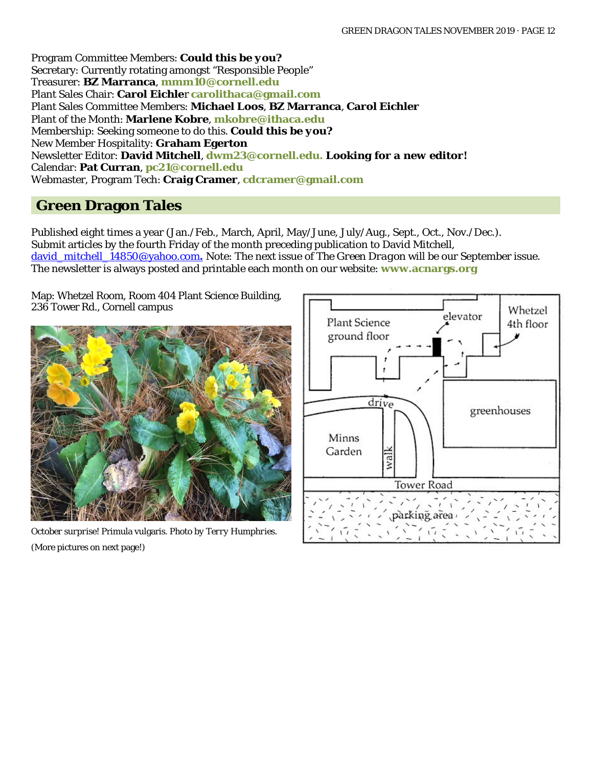Program Committee Members: *Could this be you?* Secretary: Currently rotating amongst "Responsible People" Treasurer: **BZ Marranca**, **[mmm10@cornell.edu](mailto:mmm10@cornell.edu)** Plant Sales Chair: **Carol Eichle**r **[carolithaca@gmail.com](mailto:carolithaca@gmail.com)**  Plant Sales Committee Members: **Michael Loos**, **BZ Marranca**, **Carol Eichler** Plant of the Month: **Marlene Kobre**, **[mkobre@ithaca.edu](mailto:mkobre@ithaca.edu)** Membership: Seeking someone to do this. *Could this be you?* New Member Hospitality: **Graham Egerton** Newsletter Editor: **David Mitchell**, **[dwm23@cornell.edu.](mailto:dwm23@cornell.edu)** *Looking for a new editor!* Calendar: **Pat Curran**, **[pc21@cornell.edu](mailto:pc21@cornell.edu)** Webmaster, Program Tech: **Craig Cramer**, **[cdcramer@gmail.com](mailto:cdcramer@gmail.com)**

### **Green Dragon Tales**

Published eight times a year (Jan./Feb., March, April, May/June, July/Aug., Sept., Oct., Nov./Dec.). Submit articles by the fourth Friday of the month preceding publication to David Mitchell, [david\\_mitchell\\_14850@yahoo.com](mailto:david_mitchell_14850@yahoo.com.)**.** Note: The next issue of *The Green Dragon* will be our September issue. The newsletter is always posted and printable each month on our website: **[www.acnargs.org](http://www.acnargs.org/)**

Map: Whetzel Room, Room 404 Plant Science Building, 236 Tower Rd., Cornell campus



*October surprise!* Primula vulgaris*. Photo by Terry Humphries.* (More pictures on next page!)